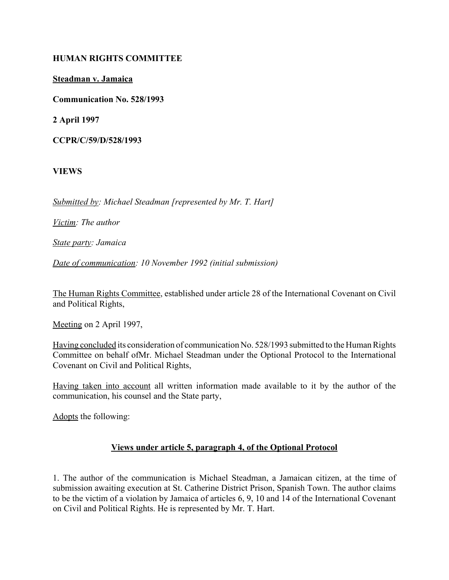## **HUMAN RIGHTS COMMITTEE**

**Steadman v. Jamaica**

**Communication No. 528/1993**

**2 April 1997**

**CCPR/C/59/D/528/1993**

**VIEWS**

*Submitted by: Michael Steadman [represented by Mr. T. Hart]* 

*Victim: The author* 

*State party: Jamaica* 

*Date of communication: 10 November 1992 (initial submission)*

The Human Rights Committee, established under article 28 of the International Covenant on Civil and Political Rights,

Meeting on 2 April 1997,

Having concluded its consideration of communication No. 528/1993 submitted to the Human Rights Committee on behalf ofMr. Michael Steadman under the Optional Protocol to the International Covenant on Civil and Political Rights,

Having taken into account all written information made available to it by the author of the communication, his counsel and the State party,

Adopts the following:

# **Views under article 5, paragraph 4, of the Optional Protocol**

1. The author of the communication is Michael Steadman, a Jamaican citizen, at the time of submission awaiting execution at St. Catherine District Prison, Spanish Town. The author claims to be the victim of a violation by Jamaica of articles 6, 9, 10 and 14 of the International Covenant on Civil and Political Rights. He is represented by Mr. T. Hart.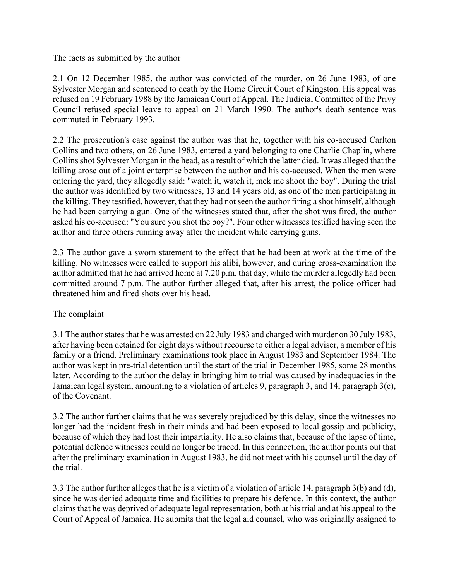The facts as submitted by the author

2.1 On 12 December 1985, the author was convicted of the murder, on 26 June 1983, of one Sylvester Morgan and sentenced to death by the Home Circuit Court of Kingston. His appeal was refused on 19 February 1988 by the Jamaican Court of Appeal. The Judicial Committee of the Privy Council refused special leave to appeal on 21 March 1990. The author's death sentence was commuted in February 1993.

2.2 The prosecution's case against the author was that he, together with his co-accused Carlton Collins and two others, on 26 June 1983, entered a yard belonging to one Charlie Chaplin, where Collins shot Sylvester Morgan in the head, as a result of which the latter died. It was alleged that the killing arose out of a joint enterprise between the author and his co-accused. When the men were entering the yard, they allegedly said: "watch it, watch it, mek me shoot the boy". During the trial the author was identified by two witnesses, 13 and 14 years old, as one of the men participating in the killing. They testified, however, that they had not seen the author firing a shot himself, although he had been carrying a gun. One of the witnesses stated that, after the shot was fired, the author asked his co-accused: "You sure you shot the boy?". Four other witnesses testified having seen the author and three others running away after the incident while carrying guns.

2.3 The author gave a sworn statement to the effect that he had been at work at the time of the killing. No witnesses were called to support his alibi, however, and during cross-examination the author admitted that he had arrived home at 7.20 p.m. that day, while the murder allegedly had been committed around 7 p.m. The author further alleged that, after his arrest, the police officer had threatened him and fired shots over his head.

# The complaint

3.1 The author states that he was arrested on 22 July 1983 and charged with murder on 30 July 1983, after having been detained for eight days without recourse to either a legal adviser, a member of his family or a friend. Preliminary examinations took place in August 1983 and September 1984. The author was kept in pre-trial detention until the start of the trial in December 1985, some 28 months later. According to the author the delay in bringing him to trial was caused by inadequacies in the Jamaican legal system, amounting to a violation of articles 9, paragraph 3, and 14, paragraph 3(c), of the Covenant.

3.2 The author further claims that he was severely prejudiced by this delay, since the witnesses no longer had the incident fresh in their minds and had been exposed to local gossip and publicity, because of which they had lost their impartiality. He also claims that, because of the lapse of time, potential defence witnesses could no longer be traced. In this connection, the author points out that after the preliminary examination in August 1983, he did not meet with his counsel until the day of the trial.

3.3 The author further alleges that he is a victim of a violation of article 14, paragraph 3(b) and (d), since he was denied adequate time and facilities to prepare his defence. In this context, the author claims that he was deprived of adequate legal representation, both at his trial and at his appeal to the Court of Appeal of Jamaica. He submits that the legal aid counsel, who was originally assigned to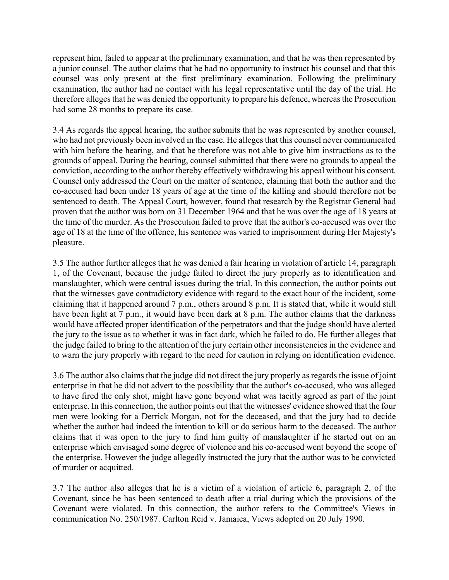represent him, failed to appear at the preliminary examination, and that he was then represented by a junior counsel. The author claims that he had no opportunity to instruct his counsel and that this counsel was only present at the first preliminary examination. Following the preliminary examination, the author had no contact with his legal representative until the day of the trial. He therefore alleges that he was denied the opportunity to prepare his defence, whereas the Prosecution had some 28 months to prepare its case.

3.4 As regards the appeal hearing, the author submits that he was represented by another counsel, who had not previously been involved in the case. He alleges that this counsel never communicated with him before the hearing, and that he therefore was not able to give him instructions as to the grounds of appeal. During the hearing, counsel submitted that there were no grounds to appeal the conviction, according to the author thereby effectively withdrawing his appeal without his consent. Counsel only addressed the Court on the matter of sentence, claiming that both the author and the co-accused had been under 18 years of age at the time of the killing and should therefore not be sentenced to death. The Appeal Court, however, found that research by the Registrar General had proven that the author was born on 31 December 1964 and that he was over the age of 18 years at the time of the murder. As the Prosecution failed to prove that the author's co-accused was over the age of 18 at the time of the offence, his sentence was varied to imprisonment during Her Majesty's pleasure.

3.5 The author further alleges that he was denied a fair hearing in violation of article 14, paragraph 1, of the Covenant, because the judge failed to direct the jury properly as to identification and manslaughter, which were central issues during the trial. In this connection, the author points out that the witnesses gave contradictory evidence with regard to the exact hour of the incident, some claiming that it happened around 7 p.m., others around 8 p.m. It is stated that, while it would still have been light at 7 p.m., it would have been dark at 8 p.m. The author claims that the darkness would have affected proper identification of the perpetrators and that the judge should have alerted the jury to the issue as to whether it was in fact dark, which he failed to do. He further alleges that the judge failed to bring to the attention of the jury certain other inconsistencies in the evidence and to warn the jury properly with regard to the need for caution in relying on identification evidence.

3.6 The author also claims that the judge did not direct the jury properly as regards the issue of joint enterprise in that he did not advert to the possibility that the author's co-accused, who was alleged to have fired the only shot, might have gone beyond what was tacitly agreed as part of the joint enterprise. In this connection, the author points out that the witnesses' evidence showed that the four men were looking for a Derrick Morgan, not for the deceased, and that the jury had to decide whether the author had indeed the intention to kill or do serious harm to the deceased. The author claims that it was open to the jury to find him guilty of manslaughter if he started out on an enterprise which envisaged some degree of violence and his co-accused went beyond the scope of the enterprise. However the judge allegedly instructed the jury that the author was to be convicted of murder or acquitted.

3.7 The author also alleges that he is a victim of a violation of article 6, paragraph 2, of the Covenant, since he has been sentenced to death after a trial during which the provisions of the Covenant were violated. In this connection, the author refers to the Committee's Views in communication No. 250/1987. Carlton Reid v. Jamaica, Views adopted on 20 July 1990.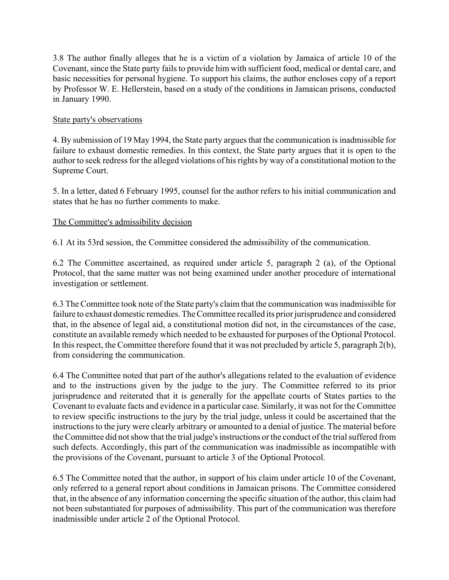3.8 The author finally alleges that he is a victim of a violation by Jamaica of article 10 of the Covenant, since the State party fails to provide him with sufficient food, medical or dental care, and basic necessities for personal hygiene. To support his claims, the author encloses copy of a report by Professor W. E. Hellerstein, based on a study of the conditions in Jamaican prisons, conducted in January 1990.

# State party's observations

4. By submission of 19 May 1994, the State party argues that the communication is inadmissible for failure to exhaust domestic remedies. In this context, the State party argues that it is open to the author to seek redress for the alleged violations of his rights by way of a constitutional motion to the Supreme Court.

5. In a letter, dated 6 February 1995, counsel for the author refers to his initial communication and states that he has no further comments to make.

# The Committee's admissibility decision

6.1 At its 53rd session, the Committee considered the admissibility of the communication.

6.2 The Committee ascertained, as required under article 5, paragraph 2 (a), of the Optional Protocol, that the same matter was not being examined under another procedure of international investigation or settlement.

6.3 The Committee took note of the State party's claim that the communication was inadmissible for failure to exhaust domestic remedies. The Committee recalled its prior jurisprudence and considered that, in the absence of legal aid, a constitutional motion did not, in the circumstances of the case, constitute an available remedy which needed to be exhausted for purposes of the Optional Protocol. In this respect, the Committee therefore found that it was not precluded by article 5, paragraph 2(b), from considering the communication.

6.4 The Committee noted that part of the author's allegations related to the evaluation of evidence and to the instructions given by the judge to the jury. The Committee referred to its prior jurisprudence and reiterated that it is generally for the appellate courts of States parties to the Covenant to evaluate facts and evidence in a particular case. Similarly, it was not for the Committee to review specific instructions to the jury by the trial judge, unless it could be ascertained that the instructions to the jury were clearly arbitrary or amounted to a denial of justice. The material before the Committee did not show that the trial judge's instructions or the conduct of the trial suffered from such defects. Accordingly, this part of the communication was inadmissible as incompatible with the provisions of the Covenant, pursuant to article 3 of the Optional Protocol.

6.5 The Committee noted that the author, in support of his claim under article 10 of the Covenant, only referred to a general report about conditions in Jamaican prisons. The Committee considered that, in the absence of any information concerning the specific situation of the author, this claim had not been substantiated for purposes of admissibility. This part of the communication was therefore inadmissible under article 2 of the Optional Protocol.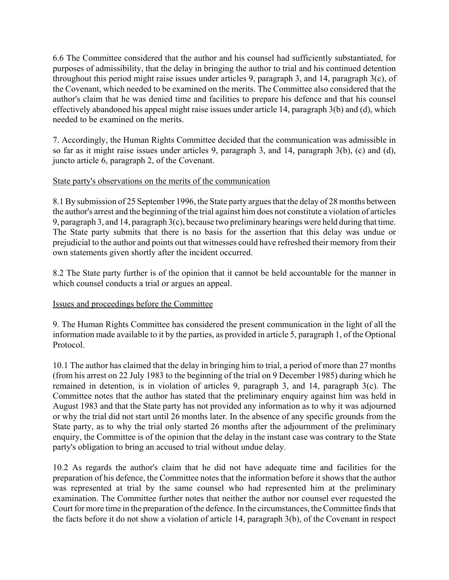6.6 The Committee considered that the author and his counsel had sufficiently substantiated, for purposes of admissibility, that the delay in bringing the author to trial and his continued detention throughout this period might raise issues under articles 9, paragraph 3, and 14, paragraph 3(c), of the Covenant, which needed to be examined on the merits. The Committee also considered that the author's claim that he was denied time and facilities to prepare his defence and that his counsel effectively abandoned his appeal might raise issues under article 14, paragraph 3(b) and (d), which needed to be examined on the merits.

7. Accordingly, the Human Rights Committee decided that the communication was admissible in so far as it might raise issues under articles 9, paragraph 3, and 14, paragraph 3(b), (c) and (d), juncto article 6, paragraph 2, of the Covenant.

# State party's observations on the merits of the communication

8.1 By submission of 25 September 1996, the State party argues that the delay of 28 months between the author's arrest and the beginning of the trial against him does not constitute a violation of articles 9, paragraph 3, and 14, paragraph 3(c), because two preliminary hearings were held during that time. The State party submits that there is no basis for the assertion that this delay was undue or prejudicial to the author and points out that witnesses could have refreshed their memory from their own statements given shortly after the incident occurred.

8.2 The State party further is of the opinion that it cannot be held accountable for the manner in which counsel conducts a trial or argues an appeal.

# Issues and proceedings before the Committee

9. The Human Rights Committee has considered the present communication in the light of all the information made available to it by the parties, as provided in article 5, paragraph 1, of the Optional Protocol.

10.1 The author has claimed that the delay in bringing him to trial, a period of more than 27 months (from his arrest on 22 July 1983 to the beginning of the trial on 9 December 1985) during which he remained in detention, is in violation of articles 9, paragraph 3, and 14, paragraph 3(c). The Committee notes that the author has stated that the preliminary enquiry against him was held in August 1983 and that the State party has not provided any information as to why it was adjourned or why the trial did not start until 26 months later. In the absence of any specific grounds from the State party, as to why the trial only started 26 months after the adjournment of the preliminary enquiry, the Committee is of the opinion that the delay in the instant case was contrary to the State party's obligation to bring an accused to trial without undue delay.

10.2 As regards the author's claim that he did not have adequate time and facilities for the preparation of his defence, the Committee notes that the information before it shows that the author was represented at trial by the same counsel who had represented him at the preliminary examination. The Committee further notes that neither the author nor counsel ever requested the Court for more time in the preparation of the defence. In the circumstances, the Committee finds that the facts before it do not show a violation of article 14, paragraph 3(b), of the Covenant in respect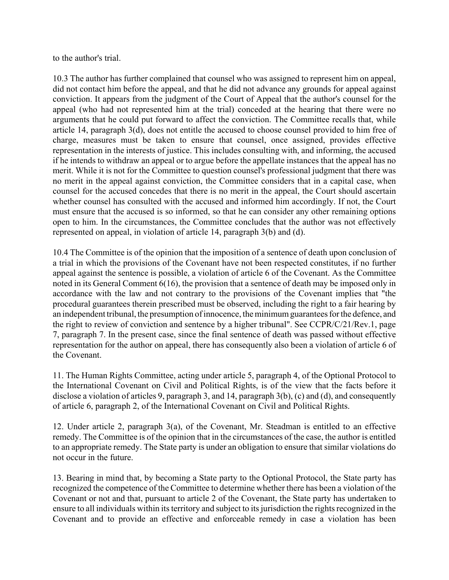to the author's trial.

10.3 The author has further complained that counsel who was assigned to represent him on appeal, did not contact him before the appeal, and that he did not advance any grounds for appeal against conviction. It appears from the judgment of the Court of Appeal that the author's counsel for the appeal (who had not represented him at the trial) conceded at the hearing that there were no arguments that he could put forward to affect the conviction. The Committee recalls that, while article 14, paragraph 3(d), does not entitle the accused to choose counsel provided to him free of charge, measures must be taken to ensure that counsel, once assigned, provides effective representation in the interests of justice. This includes consulting with, and informing, the accused if he intends to withdraw an appeal or to argue before the appellate instances that the appeal has no merit. While it is not for the Committee to question counsel's professional judgment that there was no merit in the appeal against conviction, the Committee considers that in a capital case, when counsel for the accused concedes that there is no merit in the appeal, the Court should ascertain whether counsel has consulted with the accused and informed him accordingly. If not, the Court must ensure that the accused is so informed, so that he can consider any other remaining options open to him. In the circumstances, the Committee concludes that the author was not effectively represented on appeal, in violation of article 14, paragraph 3(b) and (d).

10.4 The Committee is of the opinion that the imposition of a sentence of death upon conclusion of a trial in which the provisions of the Covenant have not been respected constitutes, if no further appeal against the sentence is possible, a violation of article 6 of the Covenant. As the Committee noted in its General Comment 6(16), the provision that a sentence of death may be imposed only in accordance with the law and not contrary to the provisions of the Covenant implies that "the procedural guarantees therein prescribed must be observed, including the right to a fair hearing by an independent tribunal, the presumption of innocence, the minimum guarantees for the defence, and the right to review of conviction and sentence by a higher tribunal". See CCPR/C/21/Rev.1, page 7, paragraph 7. In the present case, since the final sentence of death was passed without effective representation for the author on appeal, there has consequently also been a violation of article 6 of the Covenant.

11. The Human Rights Committee, acting under article 5, paragraph 4, of the Optional Protocol to the International Covenant on Civil and Political Rights, is of the view that the facts before it disclose a violation of articles 9, paragraph 3, and 14, paragraph 3(b), (c) and (d), and consequently of article 6, paragraph 2, of the International Covenant on Civil and Political Rights.

12. Under article 2, paragraph 3(a), of the Covenant, Mr. Steadman is entitled to an effective remedy. The Committee is of the opinion that in the circumstances of the case, the author is entitled to an appropriate remedy. The State party is under an obligation to ensure that similar violations do not occur in the future.

13. Bearing in mind that, by becoming a State party to the Optional Protocol, the State party has recognized the competence of the Committee to determine whether there has been a violation of the Covenant or not and that, pursuant to article 2 of the Covenant, the State party has undertaken to ensure to all individuals within its territory and subject to its jurisdiction the rights recognized in the Covenant and to provide an effective and enforceable remedy in case a violation has been